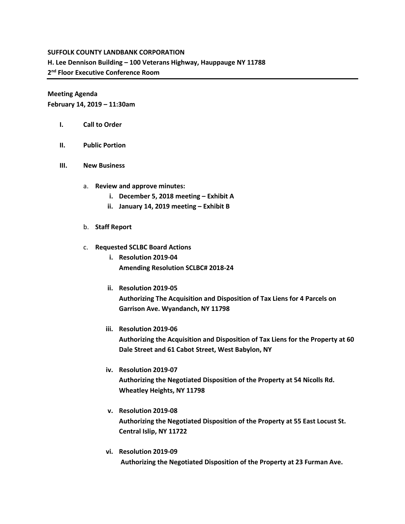## **SUFFOLK COUNTY LANDBANK CORPORATION**

**H. Lee Dennison Building – 100 Veterans Highway, Hauppauge NY 11788**

**2 nd Floor Executive Conference Room**

**Meeting Agenda**

**February 14, 2019 – 11:30am**

- **I. Call to Order**
- **II. Public Portion**
- **III. New Business**
	- a. **Review and approve minutes:** 
		- **i. December 5, 2018 meeting – Exhibit A**
		- **ii.** January 14, 2019 meeting Exhibit B
	- b. **Staff Report**
	- c. **Requested SCLBC Board Actions** 
		- **i. Resolution 2019-04 Amending Resolution SCLBC# 2018-24**
		- **ii. Resolution 2019-05 Authorizing The Acquisition and Disposition of Tax Liens for 4 Parcels on Garrison Ave. Wyandanch, NY 11798**
		- **iii. Resolution 2019-06**

**Authorizing the Acquisition and Disposition of Tax Liens for the Property at 60 Dale Street and 61 Cabot Street, West Babylon, NY**

- **iv. Resolution 2019-07 Authorizing the Negotiated Disposition of the Property at 54 Nicolls Rd. Wheatley Heights, NY 11798**
- **v. Resolution 2019-08 Authorizing the Negotiated Disposition of the Property at 55 East Locust St. Central Islip, NY 11722**
- **vi. Resolution 2019-09 Authorizing the Negotiated Disposition of the Property at 23 Furman Ave.**